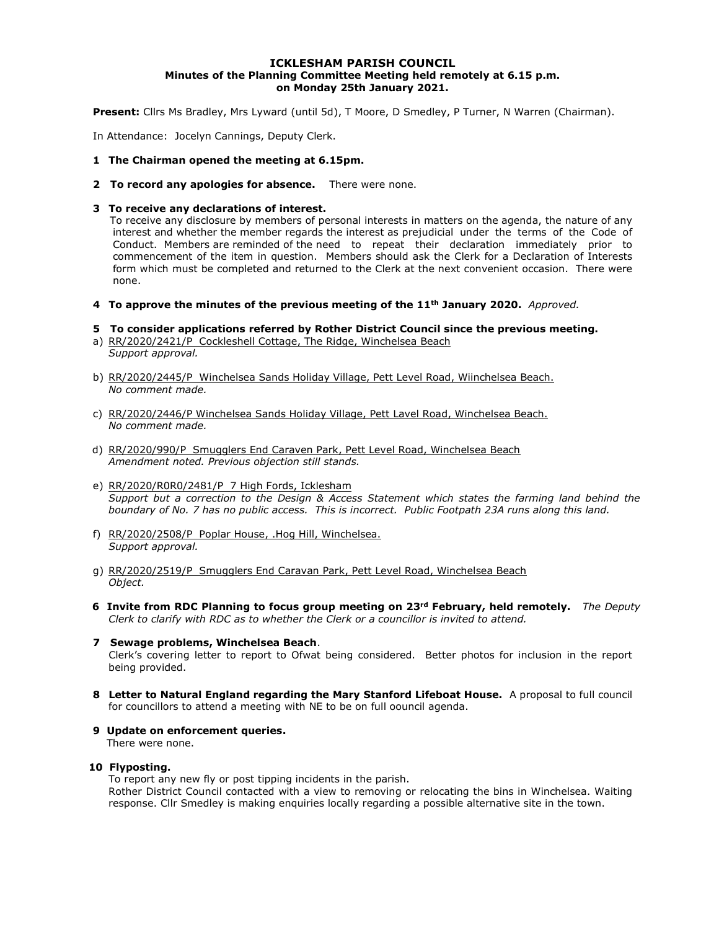#### ICKLESHAM PARISH COUNCIL Minutes of the Planning Committee Meeting held remotely at 6.15 p.m. on Monday 25th January 2021.

Present: Cllrs Ms Bradley, Mrs Lyward (until 5d), T Moore, D Smedley, P Turner, N Warren (Chairman).

In Attendance: Jocelyn Cannings, Deputy Clerk.

- 1 The Chairman opened the meeting at 6.15pm.
- 2 To record any apologies for absence. There were none.

#### 3 To receive any declarations of interest.

 To receive any disclosure by members of personal interests in matters on the agenda, the nature of any interest and whether the member regards the interest as prejudicial under the terms of the Code of Conduct. Members are reminded of the need to repeat their declaration immediately prior to commencement of the item in question. Members should ask the Clerk for a Declaration of Interests form which must be completed and returned to the Clerk at the next convenient occasion. There were none.

4 To approve the minutes of the previous meeting of the  $11<sup>th</sup>$  January 2020. Approved.

### 5 To consider applications referred by Rother District Council since the previous meeting.

- a) RR/2020/2421/P Cockleshell Cottage, The Ridge, Winchelsea Beach Support approval.
- b) RR/2020/2445/P Winchelsea Sands Holiday Village, Pett Level Road, Wiinchelsea Beach. No comment made.
- c) RR/2020/2446/P Winchelsea Sands Holiday Village, Pett Lavel Road, Winchelsea Beach. No comment made.
- d) RR/2020/990/P Smugglers End Caraven Park, Pett Level Road, Winchelsea Beach Amendment noted. Previous objection still stands.
- e) RR/2020/R0R0/2481/P 7 High Fords, Icklesham Support but a correction to the Design & Access Statement which states the farming land behind the boundary of No. 7 has no public access. This is incorrect. Public Footpath 23A runs along this land.
- f) RR/2020/2508/P Poplar House, .Hog Hill, Winchelsea. Support approval.
- g) RR/2020/2519/P Smugglers End Caravan Park, Pett Level Road, Winchelsea Beach Object.
- 6 Invite from RDC Planning to focus group meeting on 23<sup>rd</sup> February, held remotely. The Deputy Clerk to clarify with RDC as to whether the Clerk or a councillor is invited to attend.
- 7 Sewage problems, Winchelsea Beach. Clerk's covering letter to report to Ofwat being considered. Better photos for inclusion in the report being provided.
- 8 Letter to Natural England regarding the Mary Stanford Lifeboat House. A proposal to full council for councillors to attend a meeting with NE to be on full oouncil agenda.
- 9 Update on enforcement queries.

There were none.

#### 10 Flyposting.

To report any new fly or post tipping incidents in the parish.

Rother District Council contacted with a view to removing or relocating the bins in Winchelsea. Waiting response. Cllr Smedley is making enquiries locally regarding a possible alternative site in the town.